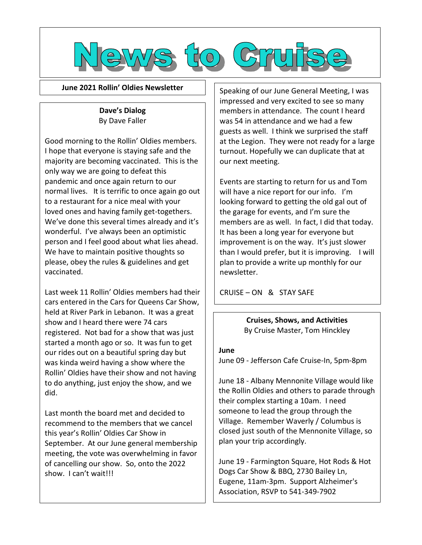

**June 2021 Rollin' Oldies Newsletter**

### **Dave's Dialog** By Dave Faller

Good morning to the Rollin' Oldies members. I hope that everyone is staying safe and the majority are becoming vaccinated. This is the only way we are going to defeat this pandemic and once again return to our normal lives. It is terrific to once again go out to a restaurant for a nice meal with your loved ones and having family get-togethers. We've done this several times already and it's wonderful. I've always been an optimistic person and I feel good about what lies ahead. We have to maintain positive thoughts so please, obey the rules & guidelines and get vaccinated.

Last week 11 Rollin' Oldies members had their cars entered in the Cars for Queens Car Show, held at River Park in Lebanon. It was a great show and I heard there were 74 cars registered. Not bad for a show that was just started a month ago or so. It was fun to get our rides out on a beautiful spring day but was kinda weird having a show where the Rollin' Oldies have their show and not having to do anything, just enjoy the show, and we did.

Last month the board met and decided to recommend to the members that we cancel this year's Rollin' Oldies Car Show in September. At our June general membership meeting, the vote was overwhelming in favor of cancelling our show. So, onto the 2022 show. I can't wait!!!

Speaking of our June General Meeting, I was impressed and very excited to see so many members in attendance. The count I heard was 54 in attendance and we had a few guests as well. I think we surprised the staff at the Legion. They were not ready for a large turnout. Hopefully we can duplicate that at our next meeting.

Events are starting to return for us and Tom will have a nice report for our info. I'm looking forward to getting the old gal out of the garage for events, and I'm sure the members are as well. In fact, I did that today. It has been a long year for everyone but improvement is on the way. It's just slower than I would prefer, but it is improving. I will plan to provide a write up monthly for our newsletter.

CRUISE – ON & STAY SAFE

**Cruises, Shows, and Activities** By Cruise Master, Tom Hinckley

#### **June**

June 09 - Jefferson Cafe Cruise-In, 5pm-8pm

June 18 - Albany Mennonite Village would like the Rollin Oldies and others to parade through their complex starting a 10am. I need someone to lead the group through the Village. Remember Waverly / Columbus is closed just south of the Mennonite Village, so plan your trip accordingly.

June 19 - Farmington Square, Hot Rods & Hot Dogs Car Show & BBQ, 2730 Bailey Ln, Eugene, 11am-3pm. Support Alzheimer's Association, RSVP to 541-349-7902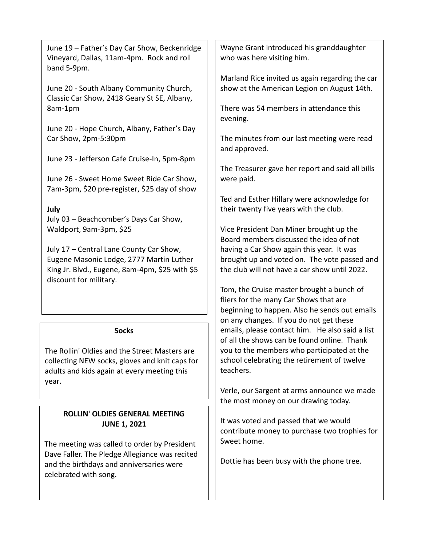June 19 – Father's Day Car Show, Beckenridge Vineyard, Dallas, 11am-4pm. Rock and roll band 5-9pm.

June 20 - South Albany Community Church, Classic Car Show, 2418 Geary St SE, Albany, 8am-1pm

June 20 - Hope Church, Albany, Father's Day Car Show, 2pm-5:30pm

June 23 - Jefferson Cafe Cruise-In, 5pm-8pm

June 26 - Sweet Home Sweet Ride Car Show, 7am-3pm, \$20 pre-register, \$25 day of show

## **July**

July 03 – Beachcomber's Days Car Show, Waldport, 9am-3pm, \$25

July 17 – Central Lane County Car Show, Eugene Masonic Lodge, 2777 Martin Luther King Jr. Blvd., Eugene, 8am-4pm, \$25 with \$5 discount for military.

#### **Socks**

The Rollin' Oldies and the Street Masters are collecting NEW socks, gloves and knit caps for adults and kids again at every meeting this year.

# **ROLLIN' OLDIES GENERAL MEETING JUNE 1, 2021**

The meeting was called to order by President Dave Faller. The Pledge Allegiance was recited and the birthdays and anniversaries were celebrated with song.

Wayne Grant introduced his granddaughter who was here visiting him.

Marland Rice invited us again regarding the car show at the American Legion on August 14th.

There was 54 members in attendance this evening.

The minutes from our last meeting were read and approved.

The Treasurer gave her report and said all bills were paid.

Ted and Esther Hillary were acknowledge for their twenty five years with the club.

Vice President Dan Miner brought up the Board members discussed the idea of not having a Car Show again this year. It was brought up and voted on. The vote passed and the club will not have a car show until 2022.

Tom, the Cruise master brought a bunch of fliers for the many Car Shows that are beginning to happen. Also he sends out emails on any changes. If you do not get these emails, please contact him. He also said a list of all the shows can be found online. Thank you to the members who participated at the school celebrating the retirement of twelve teachers.

Verle, our Sargent at arms announce we made the most money on our drawing today.

It was voted and passed that we would contribute money to purchase two trophies for Sweet home.

Dottie has been busy with the phone tree.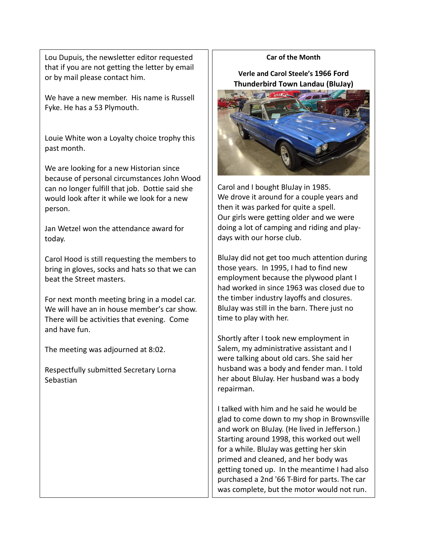Lou Dupuis, the newsletter editor requested that if you are not getting the letter by email or by mail please contact him.

We have a new member. His name is Russell Fyke. He has a 53 Plymouth.

Louie White won a Loyalty choice trophy this past month.

We are looking for a new Historian since because of personal circumstances John Wood can no longer fulfill that job. Dottie said she would look after it while we look for a new person.

Jan Wetzel won the attendance award for today.

Carol Hood is still requesting the members to bring in gloves, socks and hats so that we can beat the Street masters.

For next month meeting bring in a model car. We will have an in house member's car show. There will be activities that evening. Come and have fun.

The meeting was adjourned at 8:02.

Respectfully submitted Secretary Lorna Sebastian

#### **Car of the Month**

**Verle and Carol Steele's 1966 Ford Thunderbird Town Landau (BluJay)**



Carol and I bought BluJay in 1985. We drove it around for a couple years and then it was parked for quite a spell. Our girls were getting older and we were doing a lot of camping and riding and playdays with our horse club.

BluJay did not get too much attention during those years. In 1995, I had to find new employment because the plywood plant I had worked in since 1963 was closed due to the timber industry layoffs and closures. BluJay was still in the barn. There just no time to play with her.

Shortly after I took new employment in Salem, my administrative assistant and I were talking about old cars. She said her husband was a body and fender man. I told her about BluJay. Her husband was a body repairman.

I talked with him and he said he would be glad to come down to my shop in Brownsville and work on BluJay. (He lived in Jefferson.) Starting around 1998, this worked out well for a while. BluJay was getting her skin primed and cleaned, and her body was getting toned up. In the meantime I had also purchased a 2nd '66 T-Bird for parts. The car was complete, but the motor would not run.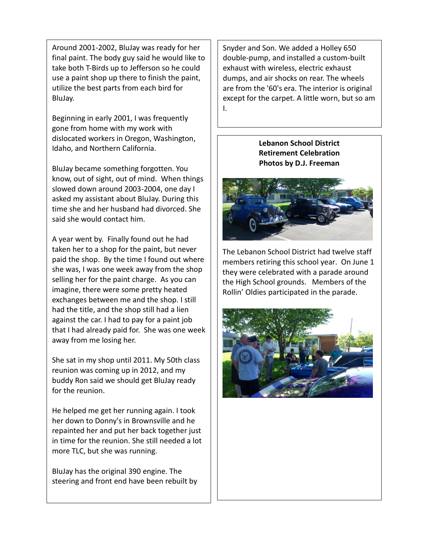Around 2001-2002, BluJay was ready for her final paint. The body guy said he would like to take both T-Birds up to Jefferson so he could use a paint shop up there to finish the paint, utilize the best parts from each bird for BluJay.

Beginning in early 2001, I was frequently gone from home with my work with dislocated workers in Oregon, Washington, Idaho, and Northern California.

BluJay became something forgotten. You know, out of sight, out of mind. When things slowed down around 2003-2004, one day I asked my assistant about BluJay. During this time she and her husband had divorced. She said she would contact him.

A year went by. Finally found out he had taken her to a shop for the paint, but never paid the shop. By the time I found out where she was, I was one week away from the shop selling her for the paint charge. As you can imagine, there were some pretty heated exchanges between me and the shop. I still had the title, and the shop still had a lien against the car. I had to pay for a paint job that I had already paid for. She was one week away from me losing her.

She sat in my shop until 2011. My 50th class reunion was coming up in 2012, and my buddy Ron said we should get BluJay ready for the reunion.

He helped me get her running again. I took her down to Donny's in Brownsville and he repainted her and put her back together just in time for the reunion. She still needed a lot more TLC, but she was running.

BluJay has the original 390 engine. The steering and front end have been rebuilt by

Snyder and Son. We added a Holley 650 double-pump, and installed a custom-built exhaust with wireless, electric exhaust dumps, and air shocks on rear. The wheels are from the '60's era. The interior is original except for the carpet. A little worn, but so am I.

## **Lebanon School District Retirement Celebration Photos by D.J. Freeman**



The Lebanon School District had twelve staff members retiring this school year. On June 1 they were celebrated with a parade around the High School grounds. Members of the Rollin' Oldies participated in the parade.

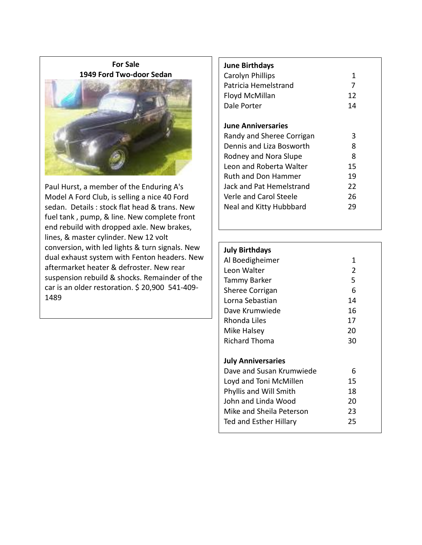**For Sale 1949 Ford Two-door Sedan**



Paul Hurst, a member of the Enduring A's Model A Ford Club, is selling a nice 40 Ford sedan. Details : stock flat head & trans. New fuel tank , pump, & line. New complete front end rebuild with dropped axle. New brakes, lines, & master cylinder. New 12 volt conversion, with led lights & turn signals. New dual exhaust system with Fenton headers. New aftermarket heater & defroster. New rear suspension rebuild & shocks. Remainder of the car is an older restoration. \$ 20,900 541-409- 1489

# **June Birthdays** Carolyn Phillips 1 Patricia Hemelstrand 7 Floyd McMillan 12 Dale Porter 14

#### **June Anniversaries**

| Randy and Sheree Corrigan | 3  |
|---------------------------|----|
| Dennis and Liza Bosworth  | 8  |
| Rodney and Nora Slupe     | 8  |
| Leon and Roberta Walter   | 15 |
| Ruth and Don Hammer       | 19 |
| Jack and Pat Hemelstrand  | 22 |
| Verle and Carol Steele    | 26 |
| Neal and Kitty Hubbbard   | 29 |
|                           |    |

# **July Birthdays** Al Boedigheimer 1 Leon Walter 2 Tammy Barker 5 Sheree Corrigan 6 Lorna Sebastian 14 Dave Krumwiede 16 Rhonda Liles 17 Mike Halsey 20 Richard Thoma 30 **July Anniversaries** Dave and Susan Krumwiede 6 Loyd and Toni McMillen 15 Phyllis and Will Smith 18 John and Linda Wood 20 Mike and Sheila Peterson 23

Ted and Esther Hillary 25